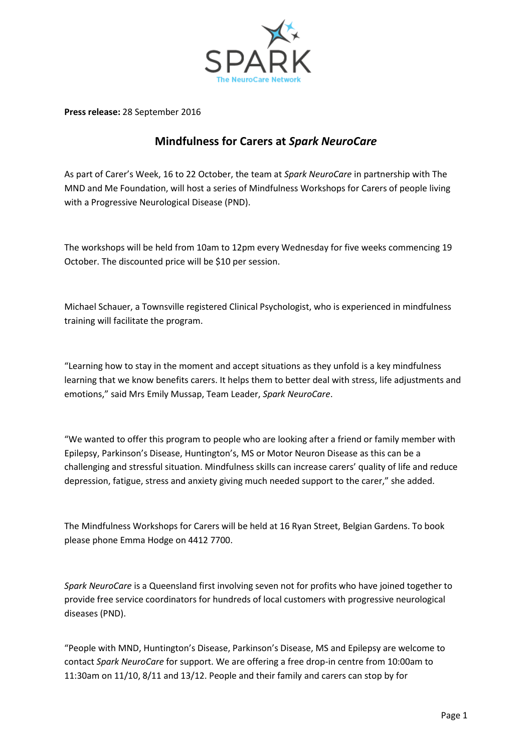

**Press release:** 28 September 2016

## **Mindfulness for Carers at** *Spark NeuroCare*

As part of Carer's Week, 16 to 22 October, the team at *Spark NeuroCare* in partnership with The MND and Me Foundation, will host a series of Mindfulness Workshops for Carers of people living with a Progressive Neurological Disease (PND).

The workshops will be held from 10am to 12pm every Wednesday for five weeks commencing 19 October. The discounted price will be \$10 per session.

Michael Schauer, a Townsville registered Clinical Psychologist, who is experienced in mindfulness training will facilitate the program.

"Learning how to stay in the moment and accept situations as they unfold is a key mindfulness learning that we know benefits carers. It helps them to better deal with stress, life adjustments and emotions," said Mrs Emily Mussap, Team Leader, *Spark NeuroCare*.

"We wanted to offer this program to people who are looking after a friend or family member with Epilepsy, Parkinson's Disease, Huntington's, MS or Motor Neuron Disease as this can be a challenging and stressful situation. Mindfulness skills can increase carers' quality of life and reduce depression, fatigue, stress and anxiety giving much needed support to the carer," she added.

The Mindfulness Workshops for Carers will be held at 16 Ryan Street, Belgian Gardens. To book please phone Emma Hodge on 4412 7700.

*Spark NeuroCare* is a Queensland first involving seven not for profits who have joined together to provide free service coordinators for hundreds of local customers with progressive neurological diseases (PND).

"People with MND, Huntington's Disease, Parkinson's Disease, MS and Epilepsy are welcome to contact *Spark NeuroCare* for support. We are offering a free drop-in centre from 10:00am to 11:30am on 11/10, 8/11 and 13/12. People and their family and carers can stop by for